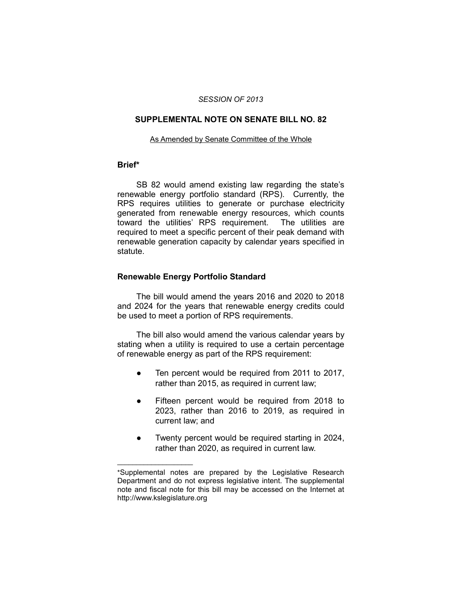#### *SESSION OF 2013*

## **SUPPLEMENTAL NOTE ON SENATE BILL NO. 82**

#### As Amended by Senate Committee of the Whole

### **Brief\***

SB 82 would amend existing law regarding the state's renewable energy portfolio standard (RPS). Currently, the RPS requires utilities to generate or purchase electricity generated from renewable energy resources, which counts toward the utilities' RPS requirement. The utilities are required to meet a specific percent of their peak demand with renewable generation capacity by calendar years specified in statute.

#### **Renewable Energy Portfolio Standard**

 $\overline{\phantom{a}}$  , where  $\overline{\phantom{a}}$ 

The bill would amend the years 2016 and 2020 to 2018 and 2024 for the years that renewable energy credits could be used to meet a portion of RPS requirements.

The bill also would amend the various calendar years by stating when a utility is required to use a certain percentage of renewable energy as part of the RPS requirement:

- Ten percent would be required from 2011 to 2017, rather than 2015, as required in current law;
- Fifteen percent would be required from 2018 to 2023, rather than 2016 to 2019, as required in current law; and
- Twenty percent would be required starting in 2024, rather than 2020, as required in current law.

<sup>\*</sup>Supplemental notes are prepared by the Legislative Research Department and do not express legislative intent. The supplemental note and fiscal note for this bill may be accessed on the Internet at http://www.kslegislature.org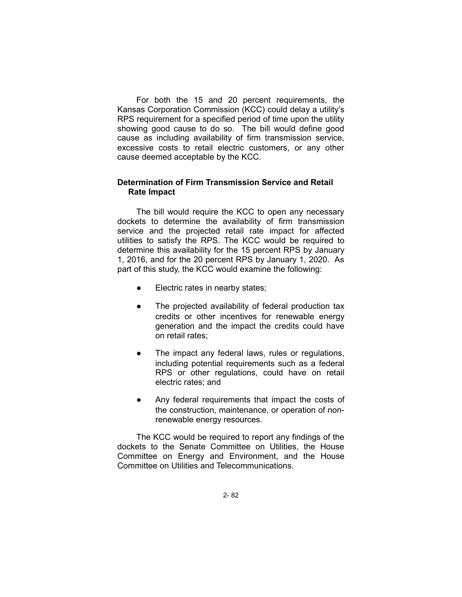For both the 15 and 20 percent requirements, the Kansas Corporation Commission (KCC) could delay a utility's RPS requirement for a specified period of time upon the utility showing good cause to do so. The bill would define good cause as including availability of firm transmission service, excessive costs to retail electric customers, or any other cause deemed acceptable by the KCC.

# **Determination of Firm Transmission Service and Retail Rate Impact**

The bill would require the KCC to open any necessary dockets to determine the availability of firm transmission service and the projected retail rate impact for affected utilities to satisfy the RPS. The KCC would be required to determine this availability for the 15 percent RPS by January 1, 2016, and for the 20 percent RPS by January 1, 2020. As part of this study, the KCC would examine the following:

- Electric rates in nearby states;
- The projected availability of federal production tax credits or other incentives for renewable energy generation and the impact the credits could have on retail rates;
- The impact any federal laws, rules or regulations, including potential requirements such as a federal RPS or other regulations, could have on retail electric rates; and
- Any federal requirements that impact the costs of the construction, maintenance, or operation of nonrenewable energy resources.

The KCC would be required to report any findings of the dockets to the Senate Committee on Utilities, the House Committee on Energy and Environment, and the House Committee on Utilities and Telecommunications.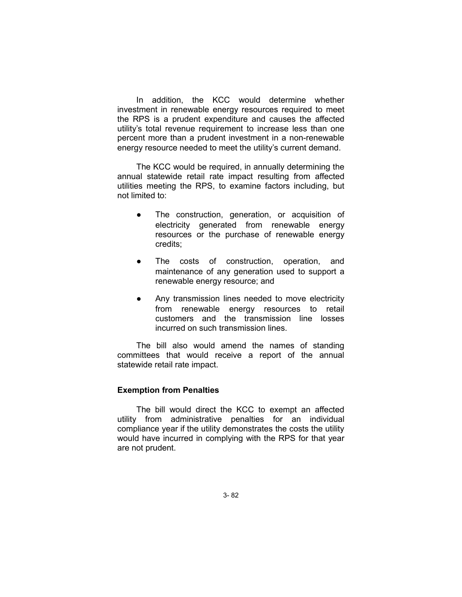In addition, the KCC would determine whether investment in renewable energy resources required to meet the RPS is a prudent expenditure and causes the affected utility's total revenue requirement to increase less than one percent more than a prudent investment in a non-renewable energy resource needed to meet the utility's current demand.

The KCC would be required, in annually determining the annual statewide retail rate impact resulting from affected utilities meeting the RPS, to examine factors including, but not limited to:

- The construction, generation, or acquisition of electricity generated from renewable energy resources or the purchase of renewable energy credits;
- The costs of construction, operation, and maintenance of any generation used to support a renewable energy resource; and
- Any transmission lines needed to move electricity from renewable energy resources to retail customers and the transmission line losses incurred on such transmission lines.

The bill also would amend the names of standing committees that would receive a report of the annual statewide retail rate impact.

## **Exemption from Penalties**

The bill would direct the KCC to exempt an affected utility from administrative penalties for an individual compliance year if the utility demonstrates the costs the utility would have incurred in complying with the RPS for that year are not prudent.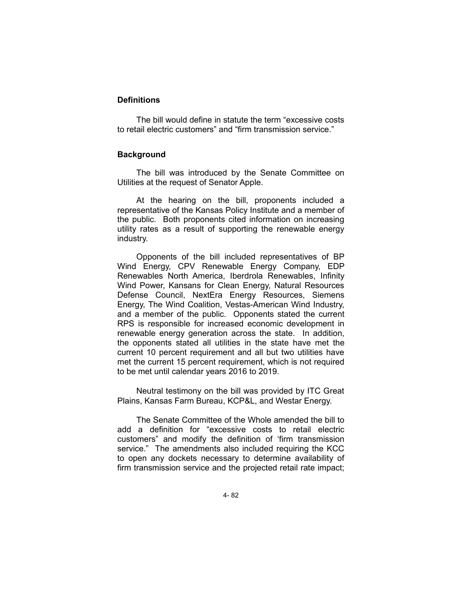## **Definitions**

The bill would define in statute the term "excessive costs to retail electric customers" and "firm transmission service."

## **Background**

The bill was introduced by the Senate Committee on Utilities at the request of Senator Apple.

At the hearing on the bill, proponents included a representative of the Kansas Policy Institute and a member of the public. Both proponents cited information on increasing utility rates as a result of supporting the renewable energy industry.

Opponents of the bill included representatives of BP Wind Energy, CPV Renewable Energy Company, EDP Renewables North America, Iberdrola Renewables, Infinity Wind Power, Kansans for Clean Energy, Natural Resources Defense Council, NextEra Energy Resources, Siemens Energy, The Wind Coalition, Vestas-American Wind Industry, and a member of the public. Opponents stated the current RPS is responsible for increased economic development in renewable energy generation across the state. In addition, the opponents stated all utilities in the state have met the current 10 percent requirement and all but two utilities have met the current 15 percent requirement, which is not required to be met until calendar years 2016 to 2019.

Neutral testimony on the bill was provided by ITC Great Plains, Kansas Farm Bureau, KCP&L, and Westar Energy.

The Senate Committee of the Whole amended the bill to add a definition for "excessive costs to retail electric customers" and modify the definition of 'firm transmission service." The amendments also included requiring the KCC to open any dockets necessary to determine availability of firm transmission service and the projected retail rate impact;